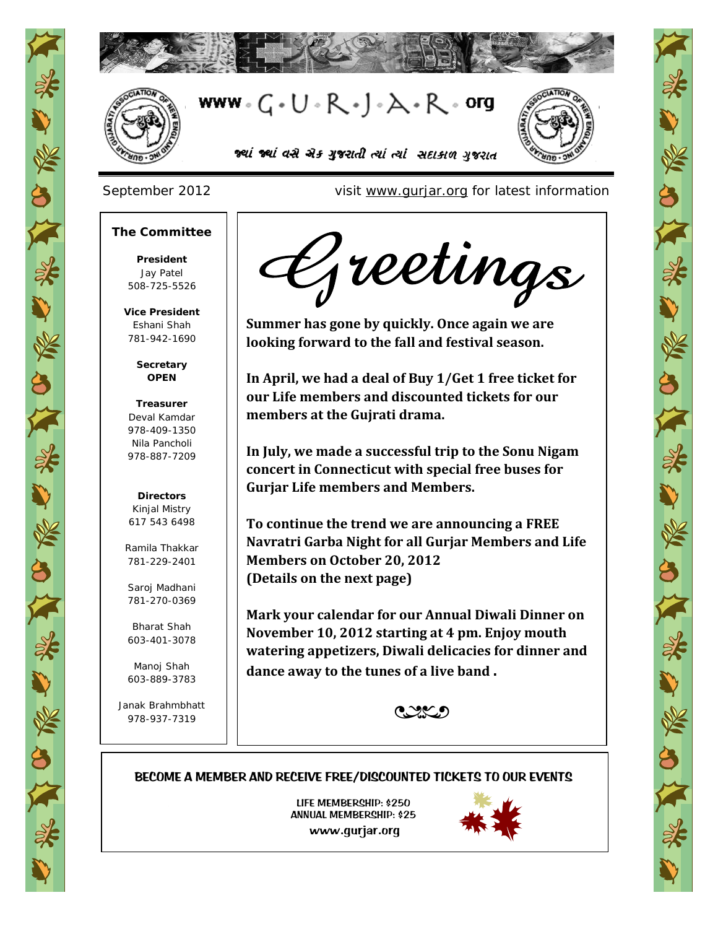

家乡

 $\delta$ 

冷染

U R

美人

Vir 1

光光

R

3



જ્યાં જ્યાં વસે એક ગુજરાતી ત્યાં ત્યાં સદાકાળ ગુજરાત



l

September 2012 visit [www.gurjar.org](http://www.gurjar.org/) for latest information

#### **The Committee**

**President** Jay Patel 508-725-5526

**Vice President** Eshani Shah 781-942-1690

> **Secretary OPEN**

**Treasurer** Deval Kamdar 978-409-1350 Nila Pancholi 978-887-7209

**Directors** Kinjal Mistry 617 543 6498

Ramila Thakkar 781-229-2401

Saroj Madhani 781-270-0369

Bharat Shah 603-401-3078

Manoj Shah 603-889-3783

Janak Brahmbhatt 978-937-7319

Jieetings

**Summer has gone by quickly. Once again we are looking forward to the fall and festival season.** 

**In April, we had a deal of Buy 1/Get 1 free ticket for our Life members and discounted tickets for our members at the Gujrati drama.**

**In July, we made a successful trip to the Sonu Nigam concert in Connecticut with special free buses for Gurjar Life members and Members.**

**To continue the trend we are announcing a FREE Navratri Garba Night for all Gurjar Members and Life Members on October 20, 2012 (Details on the next page)**

**Mark your calendar for our Annual Diwali Dinner on November 10, 2012 starting at 4 pm. Enjoy mouth watering appetizers, Diwali delicacies for dinner and dance away to the tunes of a live band .**



### **BECOME A MEMBER AND RECEIVE FREE/DISCOUNTED TICKETS TO OUR EVENTS**

LIFE MEMBERSHIP: \$250 ANNUAL MEMBERSHIP: \$25 www.gurjar.org

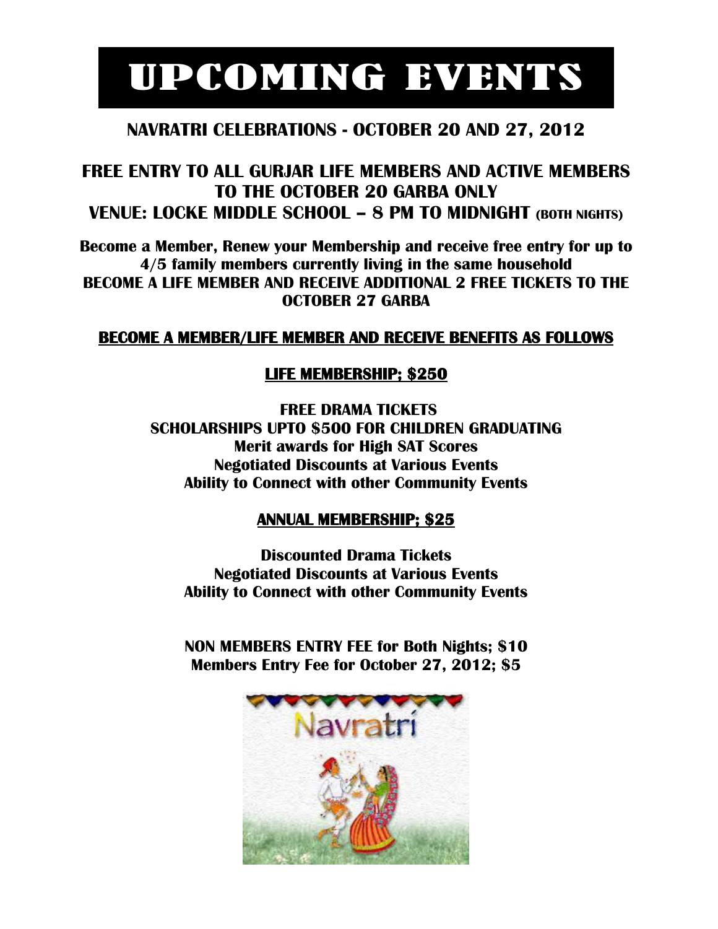# UPCOMING EVENTS

# **NAVRATRI CELEBRATIONS - OCTOBER 20 AND 27, 2012**

# **FREE ENTRY TO ALL GURJAR LIFE MEMBERS AND ACTIVE MEMBERS TO THE OCTOBER 20 GARBA ONLY VENUE: LOCKE MIDDLE SCHOOL – 8 PM TO MIDNIGHT (BOTH NIGHTS)**

**Become a Member, Renew your Membership and receive free entry for up to 4/5 family members currently living in the same household BECOME A LIFE MEMBER AND RECEIVE ADDITIONAL 2 FREE TICKETS TO THE OCTOBER 27 GARBA**

## **BECOME A MEMBER/LIFE MEMBER AND RECEIVE BENEFITS AS FOLLOWS**

## **LIFE MEMBERSHIP; \$250**

**FREE DRAMA TICKETS SCHOLARSHIPS UPTO \$500 FOR CHILDREN GRADUATING Merit awards for High SAT Scores Negotiated Discounts at Various Events Ability to Connect with other Community Events**

## **ANNUAL MEMBERSHIP; \$25**

**Discounted Drama Tickets Negotiated Discounts at Various Events Ability to Connect with other Community Events**

**NON MEMBERS ENTRY FEE for Both Nights; \$10 Members Entry Fee for October 27, 2012; \$5**

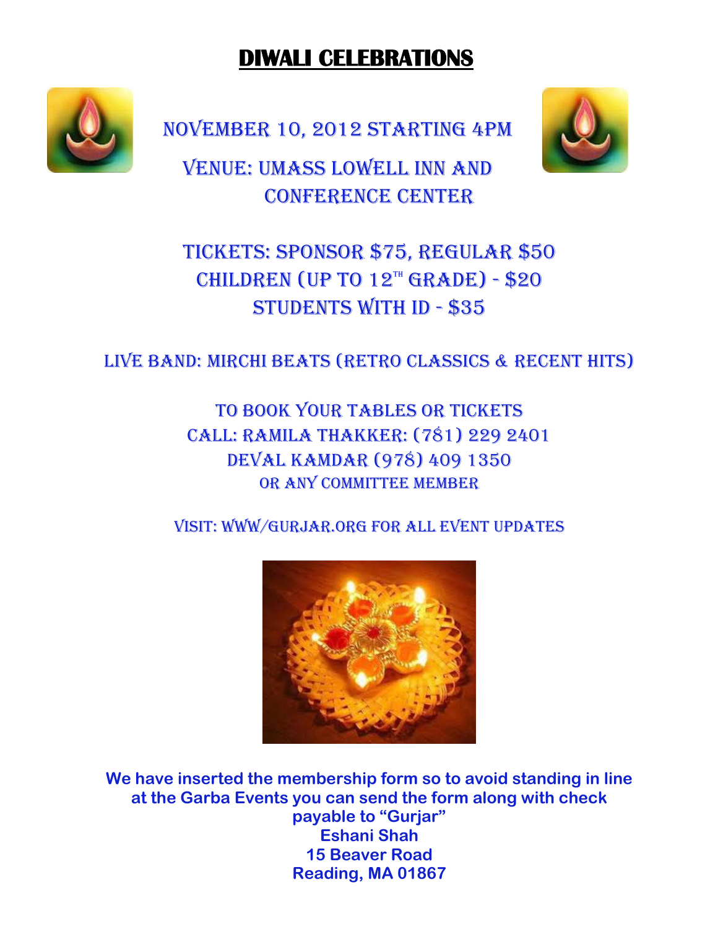# **DIWALI CELEBRATIONS**



NOVEMBER 10, 2012 starting 4PM

VENUE: UMASS Lowell Inn and Conference Center



Tickets: Sponsor \$75, Regular \$50 CHILDREN (UP TO  $12^{th}$  GRADE) - \$20 Students with ID - \$35

# Live Band: Mirchi Beats (retro classics & recent hits)

TO BOOK YOUR TABLES OR TICKETS Call: Ramila Thakker: (781) 229 2401 Deval kamdar (978) 409 1350 Or any committee member

Visit: www/gurjar.org for all event updates



**We have inserted the membership form so to avoid standing in line at the Garba Events you can send the form along with check payable to "Gurjar" Eshani Shah 15 Beaver Road Reading, MA 01867**